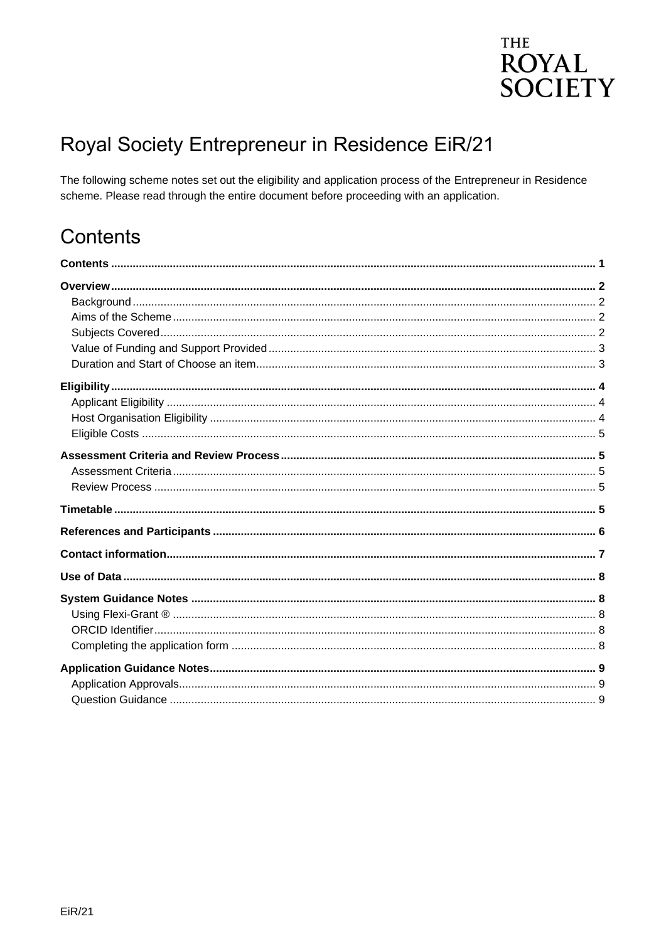### **THE ROYAL SOCIETY**

## Royal Society Entrepreneur in Residence EiR/21

The following scheme notes set out the eligibility and application process of the Entrepreneur in Residence scheme. Please read through the entire document before proceeding with an application.

### <span id="page-0-0"></span>Contents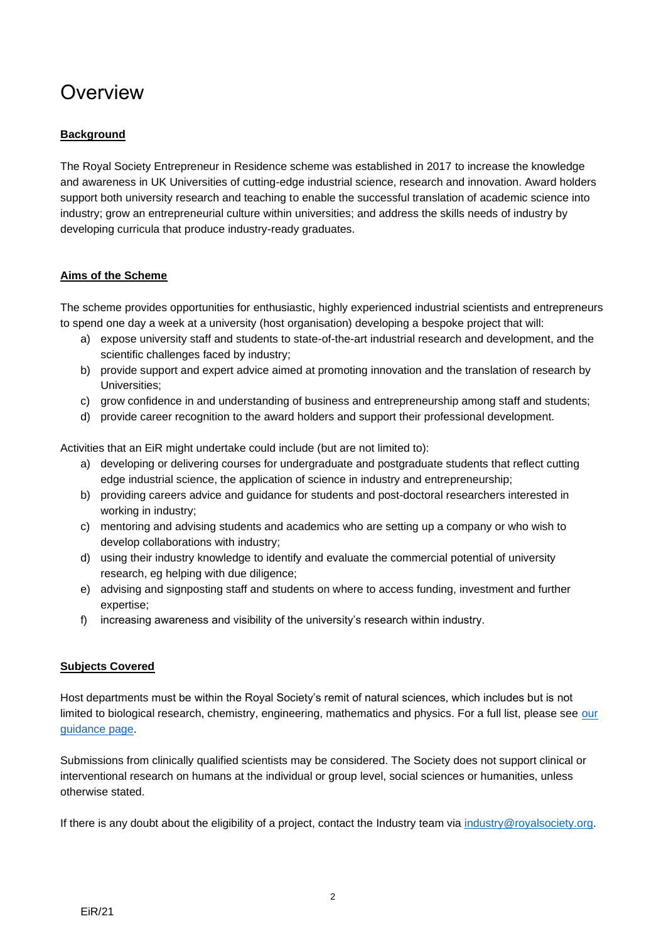### <span id="page-1-0"></span>**Overview**

#### <span id="page-1-1"></span>**Background**

The Royal Society Entrepreneur in Residence scheme was established in 2017 to increase the knowledge and awareness in UK Universities of cutting-edge industrial science, research and innovation. Award holders support both university research and teaching to enable the successful translation of academic science into industry; grow an entrepreneurial culture within universities; and address the skills needs of industry by developing curricula that produce industry-ready graduates.

#### <span id="page-1-2"></span>**Aims of the Scheme**

The scheme provides opportunities for enthusiastic, highly experienced industrial scientists and entrepreneurs to spend one day a week at a university (host organisation) developing a bespoke project that will:

- a) expose university staff and students to state-of-the-art industrial research and development, and the scientific challenges faced by industry;
- b) provide support and expert advice aimed at promoting innovation and the translation of research by Universities;
- c) grow confidence in and understanding of business and entrepreneurship among staff and students;
- d) provide career recognition to the award holders and support their professional development.

Activities that an EiR might undertake could include (but are not limited to):

- a) developing or delivering courses for undergraduate and postgraduate students that reflect cutting edge industrial science, the application of science in industry and entrepreneurship;
- b) providing careers advice and guidance for students and post-doctoral researchers interested in working in industry;
- c) mentoring and advising students and academics who are setting up a company or who wish to develop collaborations with industry;
- d) using their industry knowledge to identify and evaluate the commercial potential of university research, eg helping with due diligence;
- e) advising and signposting staff and students on where to access funding, investment and further expertise;
- f) increasing awareness and visibility of the university's research within industry.

#### <span id="page-1-3"></span>**Subjects Covered**

Host departments must be within the Royal Society's remit of natural sciences, which includes but is not limited to biological research, chemistry, engineering, mathematics and physics. For a full list, please see our [guidance page.](https://royalsociety.org/grants-schemes-awards/grants/subject-groups/)

Submissions from clinically qualified scientists may be considered. The Society does not support clinical or interventional research on humans at the individual or group level, social sciences or humanities, unless otherwise stated.

If there is any doubt about the eligibility of a project, contact the Industry team via [industry@royalsociety.org.](mailto:industry@royalsociety.org)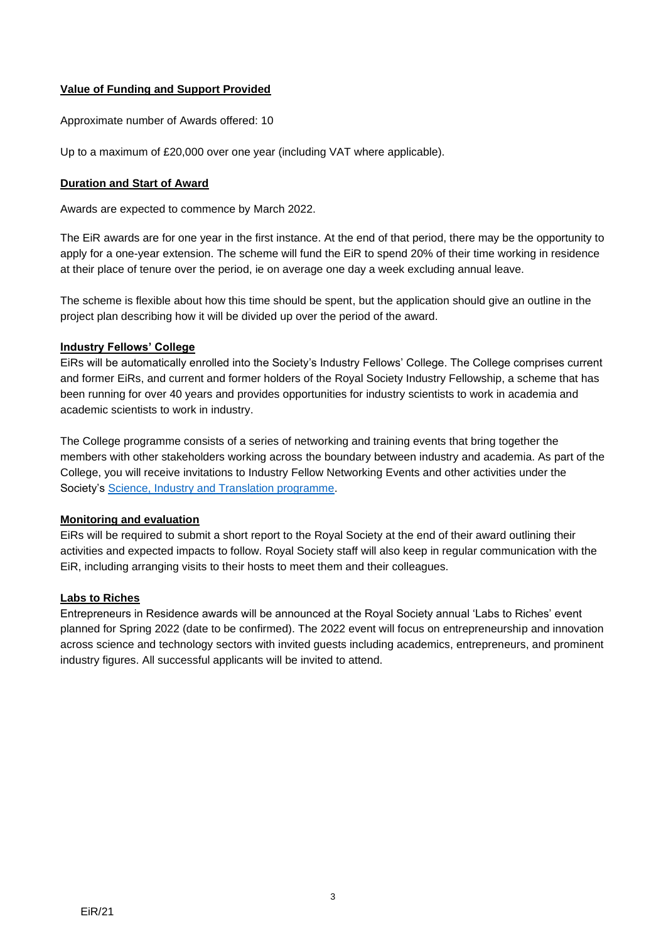#### <span id="page-2-0"></span>**Value of Funding and Support Provided**

Approximate number of Awards offered: 10

Up to a maximum of £20,000 over one year (including VAT where applicable).

#### <span id="page-2-1"></span>**Duration and Start of Award**

Awards are expected to commence by March 2022.

The EiR awards are for one year in the first instance. At the end of that period, there may be the opportunity to apply for a one-year extension. The scheme will fund the EiR to spend 20% of their time working in residence at their place of tenure over the period, ie on average one day a week excluding annual leave.

The scheme is flexible about how this time should be spent, but the application should give an outline in the project plan describing how it will be divided up over the period of the award.

#### **Industry Fellows' College**

EiRs will be automatically enrolled into the Society's Industry Fellows' College. The College comprises current and former EiRs, and current and former holders of the Royal Society Industry Fellowship, a scheme that has been running for over 40 years and provides opportunities for industry scientists to work in academia and academic scientists to work in industry.

The College programme consists of a series of networking and training events that bring together the members with other stakeholders working across the boundary between industry and academia. As part of the College, you will receive invitations to Industry Fellow Networking Events and other activities under the Society's [Science, Industry and Translation programme.](https://royalsociety.org/topics-policy/industry-innovation/)

#### **Monitoring and evaluation**

EiRs will be required to submit a short report to the Royal Society at the end of their award outlining their activities and expected impacts to follow. Royal Society staff will also keep in regular communication with the EiR, including arranging visits to their hosts to meet them and their colleagues.

#### **Labs to Riches**

Entrepreneurs in Residence awards will be announced at the Royal Society annual 'Labs to Riches' event planned for Spring 2022 (date to be confirmed). The 2022 event will focus on entrepreneurship and innovation across science and technology sectors with invited guests including academics, entrepreneurs, and prominent industry figures. All successful applicants will be invited to attend.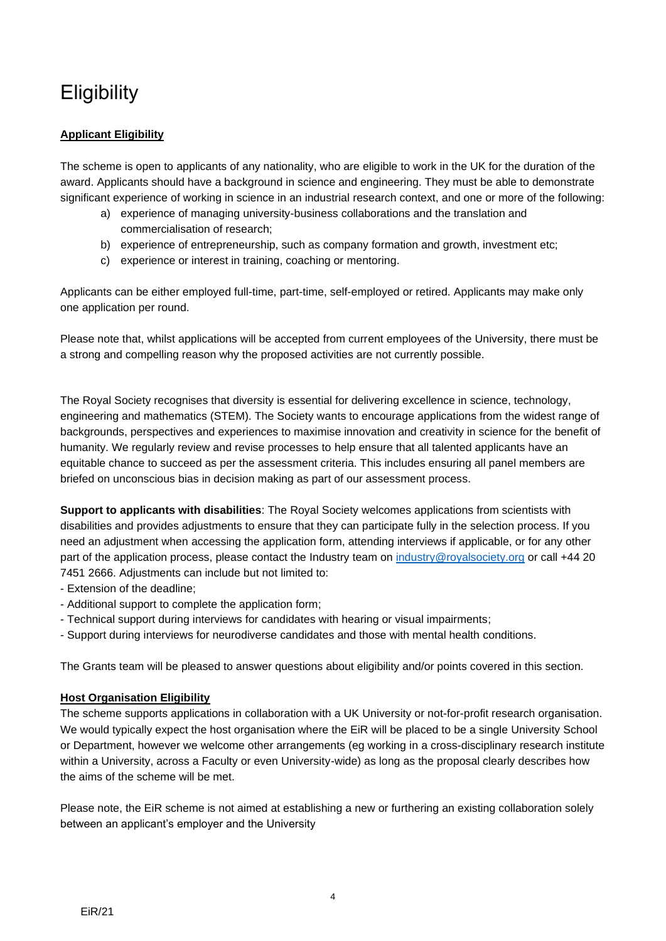# <span id="page-3-0"></span>**Eligibility**

#### <span id="page-3-1"></span>**Applicant Eligibility**

The scheme is open to applicants of any nationality, who are eligible to work in the UK for the duration of the award. Applicants should have a background in science and engineering. They must be able to demonstrate significant experience of working in science in an industrial research context, and one or more of the following:

- a) experience of managing university-business collaborations and the translation and commercialisation of research;
- b) experience of entrepreneurship, such as company formation and growth, investment etc;
- c) experience or interest in training, coaching or mentoring.

Applicants can be either employed full-time, part-time, self-employed or retired. Applicants may make only one application per round.

Please note that, whilst applications will be accepted from current employees of the University, there must be a strong and compelling reason why the proposed activities are not currently possible.

The Royal Society recognises that diversity is essential for delivering excellence in science, technology, engineering and mathematics (STEM). The Society wants to encourage applications from the widest range of backgrounds, perspectives and experiences to maximise innovation and creativity in science for the benefit of humanity. We regularly review and revise processes to help ensure that all talented applicants have an equitable chance to succeed as per the assessment criteria. This includes ensuring all panel members are briefed on unconscious bias in decision making as part of our assessment process.

**Support to applicants with disabilities**: The Royal Society welcomes applications from scientists with disabilities and provides adjustments to ensure that they can participate fully in the selection process. If you need an adjustment when accessing the application form, attending interviews if applicable, or for any other part of the application process, please contact the Industry team on [industry@royalsociety.org](mailto:industry@royalsociety.org) or call +44 20 7451 2666. Adjustments can include but not limited to:

- Extension of the deadline;
- Additional support to complete the application form;
- Technical support during interviews for candidates with hearing or visual impairments;
- Support during interviews for neurodiverse candidates and those with mental health conditions.

The Grants team will be pleased to answer questions about eligibility and/or points covered in this section.

#### <span id="page-3-2"></span>**Host Organisation Eligibility**

The scheme supports applications in collaboration with a UK University or not-for-profit research organisation. We would typically expect the host organisation where the EiR will be placed to be a single University School or Department, however we welcome other arrangements (eg working in a cross-disciplinary research institute within a University, across a Faculty or even University-wide) as long as the proposal clearly describes how the aims of the scheme will be met.

Please note, the EiR scheme is not aimed at establishing a new or furthering an existing collaboration solely between an applicant's employer and the University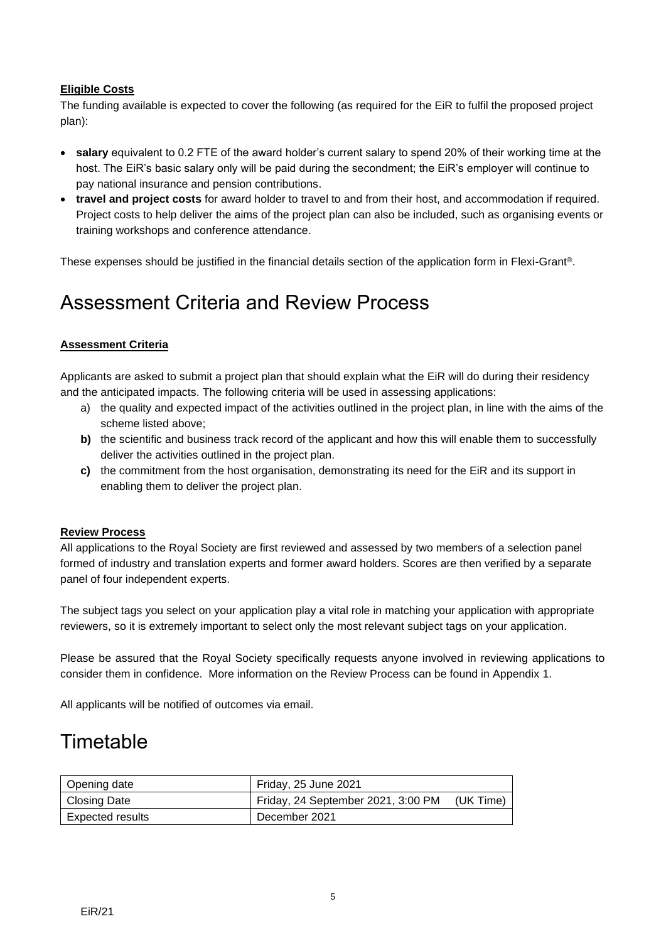#### <span id="page-4-0"></span>**Eligible Costs**

The funding available is expected to cover the following (as required for the EiR to fulfil the proposed project plan):

- **salary** equivalent to 0.2 FTE of the award holder's current salary to spend 20% of their working time at the host. The EiR's basic salary only will be paid during the secondment; the EiR's employer will continue to pay national insurance and pension contributions.
- **travel and project costs** for award holder to travel to and from their host, and accommodation if required. Project costs to help deliver the aims of the project plan can also be included, such as organising events or training workshops and conference attendance.

These expenses should be justified in the financial details section of the application form in Flexi-Grant®.

### <span id="page-4-1"></span>Assessment Criteria and Review Process

#### <span id="page-4-2"></span>**Assessment Criteria**

Applicants are asked to submit a project plan that should explain what the EiR will do during their residency and the anticipated impacts. The following criteria will be used in assessing applications:

- a) the quality and expected impact of the activities outlined in the project plan, in line with the aims of the scheme listed above;
- **b)** the scientific and business track record of the applicant and how this will enable them to successfully deliver the activities outlined in the project plan.
- **c)** the commitment from the host organisation, demonstrating its need for the EiR and its support in enabling them to deliver the project plan.

#### <span id="page-4-3"></span>**Review Process**

All applications to the Royal Society are first reviewed and assessed by two members of a selection panel formed of industry and translation experts and former award holders. Scores are then verified by a separate panel of four independent experts.

The subject tags you select on your application play a vital role in matching your application with appropriate reviewers, so it is extremely important to select only the most relevant subject tags on your application.

Please be assured that the Royal Society specifically requests anyone involved in reviewing applications to consider them in confidence. More information on the Review Process can be found in Appendix 1.

All applicants will be notified of outcomes via email.

### <span id="page-4-4"></span>**Timetable**

| Opening date     | Friday, 25 June 2021               |           |
|------------------|------------------------------------|-----------|
| Closing Date     | Friday, 24 September 2021, 3:00 PM | (UK Time) |
| Expected results | December 2021                      |           |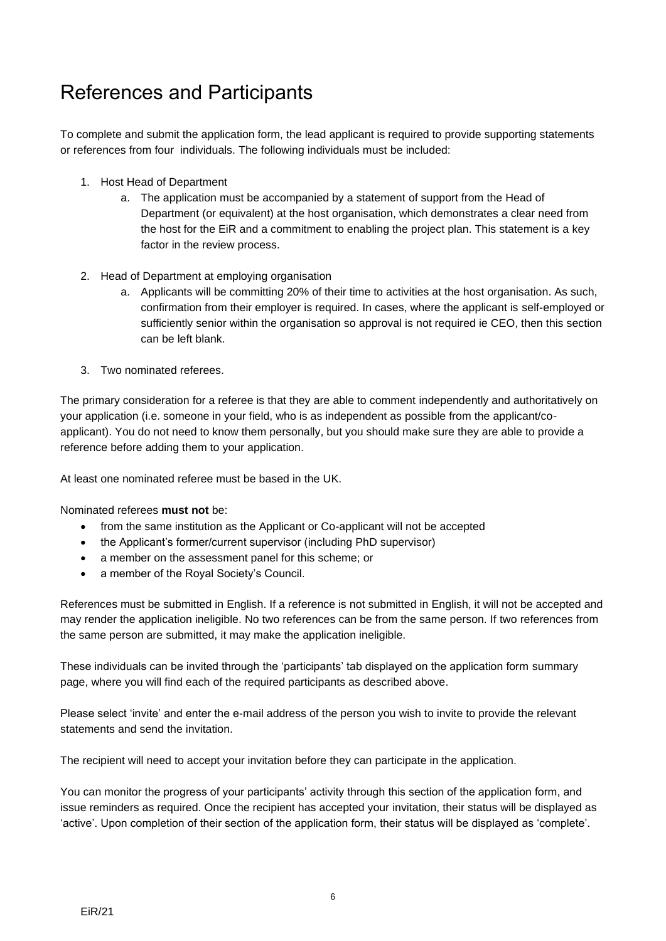## <span id="page-5-0"></span>References and Participants

To complete and submit the application form, the lead applicant is required to provide supporting statements or references from four individuals. The following individuals must be included:

- 1. Host Head of Department
	- a. The application must be accompanied by a statement of support from the Head of Department (or equivalent) at the host organisation, which demonstrates a clear need from the host for the EiR and a commitment to enabling the project plan. This statement is a key factor in the review process.
- 2. Head of Department at employing organisation
	- a. Applicants will be committing 20% of their time to activities at the host organisation. As such, confirmation from their employer is required. In cases, where the applicant is self-employed or sufficiently senior within the organisation so approval is not required ie CEO, then this section can be left blank.
- 3. Two nominated referees.

The primary consideration for a referee is that they are able to comment independently and authoritatively on your application (i.e. someone in your field, who is as independent as possible from the applicant/coapplicant). You do not need to know them personally, but you should make sure they are able to provide a reference before adding them to your application.

At least one nominated referee must be based in the UK.

Nominated referees **must not** be:

- from the same institution as the Applicant or Co-applicant will not be accepted
- the Applicant's former/current supervisor (including PhD supervisor)
- a member on the assessment panel for this scheme; or
- a member of the Royal Society's Council.

References must be submitted in English. If a reference is not submitted in English, it will not be accepted and may render the application ineligible. No two references can be from the same person. If two references from the same person are submitted, it may make the application ineligible.

These individuals can be invited through the 'participants' tab displayed on the application form summary page, where you will find each of the required participants as described above.

Please select 'invite' and enter the e-mail address of the person you wish to invite to provide the relevant statements and send the invitation.

The recipient will need to accept your invitation before they can participate in the application.

You can monitor the progress of your participants' activity through this section of the application form, and issue reminders as required. Once the recipient has accepted your invitation, their status will be displayed as 'active'. Upon completion of their section of the application form, their status will be displayed as 'complete'.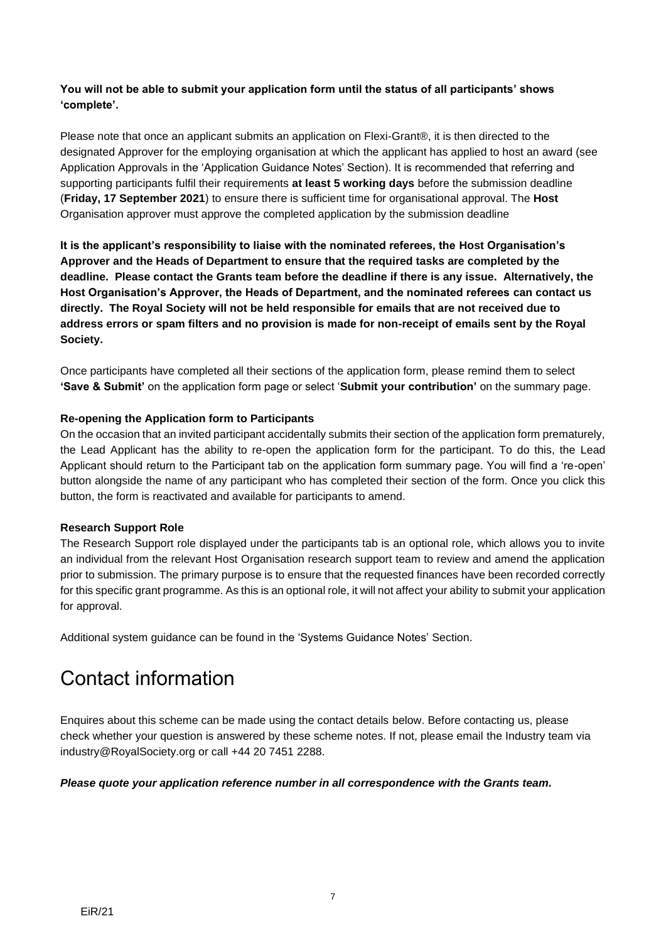#### **You will not be able to submit your application form until the status of all participants' shows 'complete'.**

Please note that once an applicant submits an application on Flexi-Grant®, it is then directed to the designated Approver for the employing organisation at which the applicant has applied to host an award (see [Application Approvals](#page-8-1) in the 'Application Guidance Notes' Section). It is recommended that referring and supporting participants fulfil their requirements **at least 5 working days** before the submission deadline (**Friday, 17 September 2021**) to ensure there is sufficient time for organisational approval. The **Host** Organisation approver must approve the completed application by the submission deadline

**It is the applicant's responsibility to liaise with the nominated referees, the Host Organisation's Approver and the Heads of Department to ensure that the required tasks are completed by the deadline. Please contact the Grants team before the deadline if there is any issue. Alternatively, the Host Organisation's Approver, the Heads of Department, and the nominated referees can contact us directly. The Royal Society will not be held responsible for emails that are not received due to address errors or spam filters and no provision is made for non-receipt of emails sent by the Royal Society.**

Once participants have completed all their sections of the application form, please remind them to select **'Save & Submit'** on the application form page or select '**Submit your contribution'** on the summary page.

#### **Re-opening the Application form to Participants**

On the occasion that an invited participant accidentally submits their section of the application form prematurely, the Lead Applicant has the ability to re-open the application form for the participant. To do this, the Lead Applicant should return to the Participant tab on the application form summary page. You will find a 're-open' button alongside the name of any participant who has completed their section of the form. Once you click this button, the form is reactivated and available for participants to amend.

#### **Research Support Role**

The Research Support role displayed under the participants tab is an optional role, which allows you to invite an individual from the relevant Host Organisation research support team to review and amend the application prior to submission. The primary purpose is to ensure that the requested finances have been recorded correctly for this specific grant programme. As this is an optional role, it will not affect your ability to submit your application for approval.

Additional system guidance can be found in the 'Systems Guidance Notes' Section.

## <span id="page-6-0"></span>Contact information

Enquires about this scheme can be made using the contact details below. Before contacting us, please check whether your question is answered by these scheme notes. If not, please email the Industry team via industry@RoyalSociety.org or call +44 20 7451 2288.

#### *Please quote your application reference number in all correspondence with the Grants team.*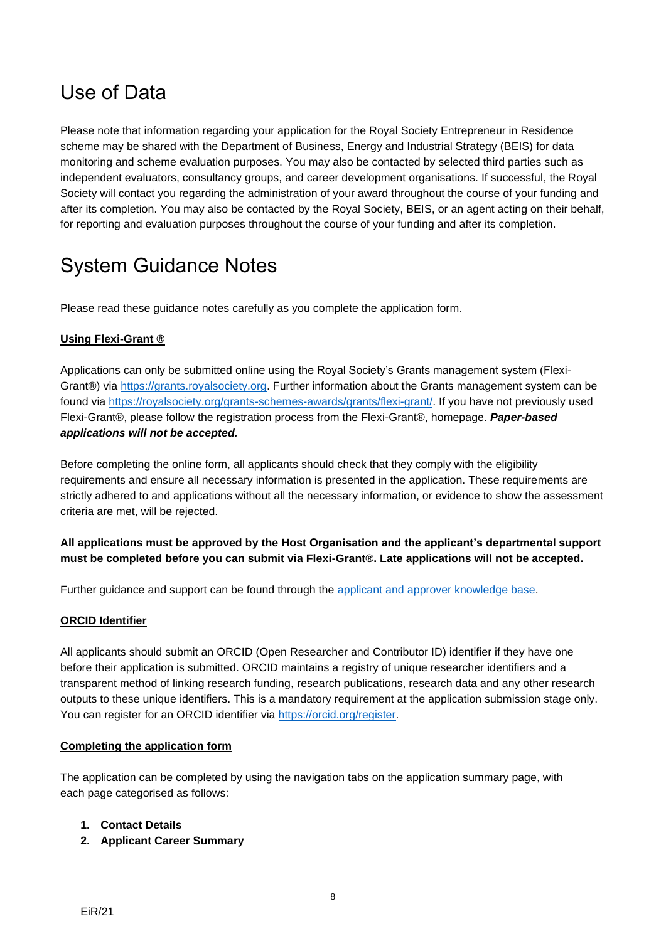### <span id="page-7-0"></span>Use of Data

Please note that information regarding your application for the Royal Society Entrepreneur in Residence scheme may be shared with the Department of Business, Energy and Industrial Strategy (BEIS) for data monitoring and scheme evaluation purposes. You may also be contacted by selected third parties such as independent evaluators, consultancy groups, and career development organisations. If successful, the Royal Society will contact you regarding the administration of your award throughout the course of your funding and after its completion. You may also be contacted by the Royal Society, BEIS, or an agent acting on their behalf, for reporting and evaluation purposes throughout the course of your funding and after its completion.

## <span id="page-7-1"></span>System Guidance Notes

Please read these guidance notes carefully as you complete the application form.

#### <span id="page-7-2"></span>**Using Flexi-Grant ®**

Applications can only be submitted online using the Royal Society's Grants management system (Flexi-Grant®) via [https://grants.royalsociety.org.](https://grants.royalsociety.org/) Further information about the Grants management system can be found via [https://royalsociety.org/grants-schemes-awards/grants/flexi-grant/.](https://royalsociety.org/grants-schemes-awards/grants/flexi-grant/) If you have not previously used Flexi-Grant®, please follow the registration process from the Flexi-Grant®, homepage. *Paper-based applications will not be accepted.*

Before completing the online form, all applicants should check that they comply with the eligibility requirements and ensure all necessary information is presented in the application. These requirements are strictly adhered to and applications without all the necessary information, or evidence to show the assessment criteria are met, will be rejected.

#### **All applications must be approved by the Host Organisation and the applicant's departmental support must be completed before you can submit via Flexi-Grant®. Late applications will not be accepted.**

Further guidance and support can be found through the applicant and [approver knowledge base.](http://royalsocietyapplicantsupport.fluenttechnology.com/support/home)

#### <span id="page-7-3"></span>**ORCID Identifier**

All applicants should submit an ORCID (Open Researcher and Contributor ID) identifier if they have one before their application is submitted. ORCID maintains a registry of unique researcher identifiers and a transparent method of linking research funding, research publications, research data and any other research outputs to these unique identifiers. This is a mandatory requirement at the application submission stage only. You can register for an ORCID identifier via [https://orcid.org/register.](https://orcid.org/register)

#### <span id="page-7-4"></span>**Completing the application form**

The application can be completed by using the navigation tabs on the application summary page, with each page categorised as follows:

#### **1. Contact Details**

**2. Applicant Career Summary**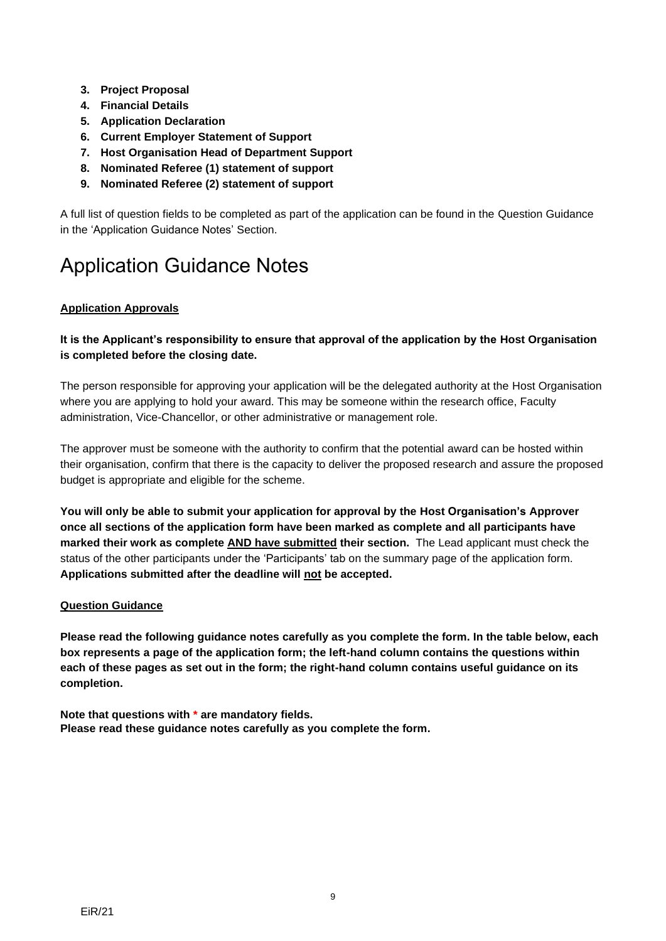- **3. Project Proposal**
- **4. Financial Details**
- **5. Application Declaration**
- **6. Current Employer Statement of Support**
- **7. Host Organisation Head of Department Support**
- **8. Nominated Referee (1) statement of support**
- **9. Nominated Referee (2) statement of support**

A full list of question fields to be completed as part of the application can be found in the Question Guidance in the 'Application Guidance Notes' Section.

## <span id="page-8-0"></span>Application Guidance Notes

#### <span id="page-8-1"></span>**Application Approvals**

#### **It is the Applicant's responsibility to ensure that approval of the application by the Host Organisation is completed before the closing date.**

The person responsible for approving your application will be the delegated authority at the Host Organisation where you are applying to hold your award. This may be someone within the research office, Faculty administration, Vice-Chancellor, or other administrative or management role.

The approver must be someone with the authority to confirm that the potential award can be hosted within their organisation, confirm that there is the capacity to deliver the proposed research and assure the proposed budget is appropriate and eligible for the scheme.

**You will only be able to submit your application for approval by the Host Organisation's Approver once all sections of the application form have been marked as complete and all participants have marked their work as complete AND have submitted their section.** The Lead applicant must check the status of the other participants under the 'Participants' tab on the summary page of the application form. **Applications submitted after the deadline will not be accepted.**

#### <span id="page-8-2"></span>**Question Guidance**

**Please read the following guidance notes carefully as you complete the form. In the table below, each box represents a page of the application form; the left-hand column contains the questions within each of these pages as set out in the form; the right-hand column contains useful guidance on its completion.**

**Note that questions with \* are mandatory fields. Please read these guidance notes carefully as you complete the form.**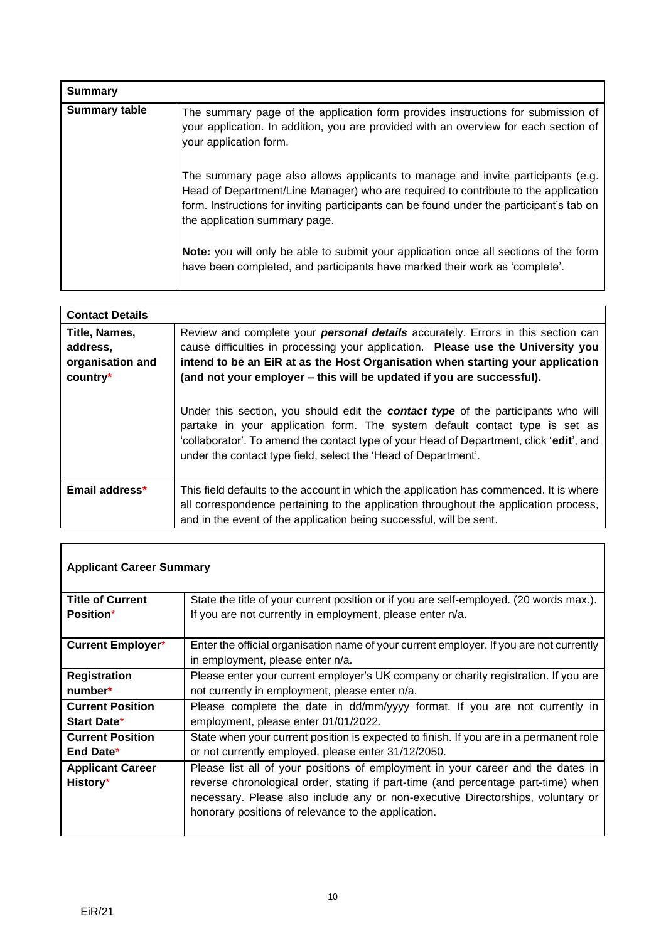| <b>Summary</b>       |                                                                                                                                                                                                                                                                                                    |
|----------------------|----------------------------------------------------------------------------------------------------------------------------------------------------------------------------------------------------------------------------------------------------------------------------------------------------|
| <b>Summary table</b> | The summary page of the application form provides instructions for submission of<br>your application. In addition, you are provided with an overview for each section of<br>your application form.                                                                                                 |
|                      | The summary page also allows applicants to manage and invite participants (e.g.<br>Head of Department/Line Manager) who are required to contribute to the application<br>form. Instructions for inviting participants can be found under the participant's tab on<br>the application summary page. |
|                      | <b>Note:</b> you will only be able to submit your application once all sections of the form<br>have been completed, and participants have marked their work as 'complete'.                                                                                                                         |

| <b>Contact Details</b>                                    |                                                                                                                                                                                                                                                                                                                                                                                                                                                                                                                                                                                                                                                                                |
|-----------------------------------------------------------|--------------------------------------------------------------------------------------------------------------------------------------------------------------------------------------------------------------------------------------------------------------------------------------------------------------------------------------------------------------------------------------------------------------------------------------------------------------------------------------------------------------------------------------------------------------------------------------------------------------------------------------------------------------------------------|
| Title, Names,<br>address,<br>organisation and<br>country* | Review and complete your <b>personal details</b> accurately. Errors in this section can<br>cause difficulties in processing your application. Please use the University you<br>intend to be an EiR at as the Host Organisation when starting your application<br>(and not your employer – this will be updated if you are successful).<br>Under this section, you should edit the <b>contact type</b> of the participants who will<br>partake in your application form. The system default contact type is set as<br>'collaborator'. To amend the contact type of your Head of Department, click 'edit', and<br>under the contact type field, select the 'Head of Department'. |
|                                                           |                                                                                                                                                                                                                                                                                                                                                                                                                                                                                                                                                                                                                                                                                |
| Email address*                                            | This field defaults to the account in which the application has commenced. It is where<br>all correspondence pertaining to the application throughout the application process,<br>and in the event of the application being successful, will be sent.                                                                                                                                                                                                                                                                                                                                                                                                                          |

٦

| <b>Applicant Career Summary</b> |                                                                                         |
|---------------------------------|-----------------------------------------------------------------------------------------|
| <b>Title of Current</b>         | State the title of your current position or if you are self-employed. (20 words max.).  |
| <b>Position*</b>                | If you are not currently in employment, please enter n/a.                               |
|                                 |                                                                                         |
| <b>Current Employer*</b>        | Enter the official organisation name of your current employer. If you are not currently |
|                                 | in employment, please enter n/a.                                                        |
| <b>Registration</b>             | Please enter your current employer's UK company or charity registration. If you are     |
| number*                         | not currently in employment, please enter n/a.                                          |
| <b>Current Position</b>         | Please complete the date in dd/mm/yyyy format. If you are not currently in              |
| <b>Start Date*</b>              | employment, please enter 01/01/2022.                                                    |
| <b>Current Position</b>         | State when your current position is expected to finish. If you are in a permanent role  |
| End Date*                       | or not currently employed, please enter 31/12/2050.                                     |
| <b>Applicant Career</b>         | Please list all of your positions of employment in your career and the dates in         |
| History*                        | reverse chronological order, stating if part-time (and percentage part-time) when       |
|                                 | necessary. Please also include any or non-executive Directorships, voluntary or         |
|                                 | honorary positions of relevance to the application.                                     |
|                                 |                                                                                         |

 $\mathsf{r}$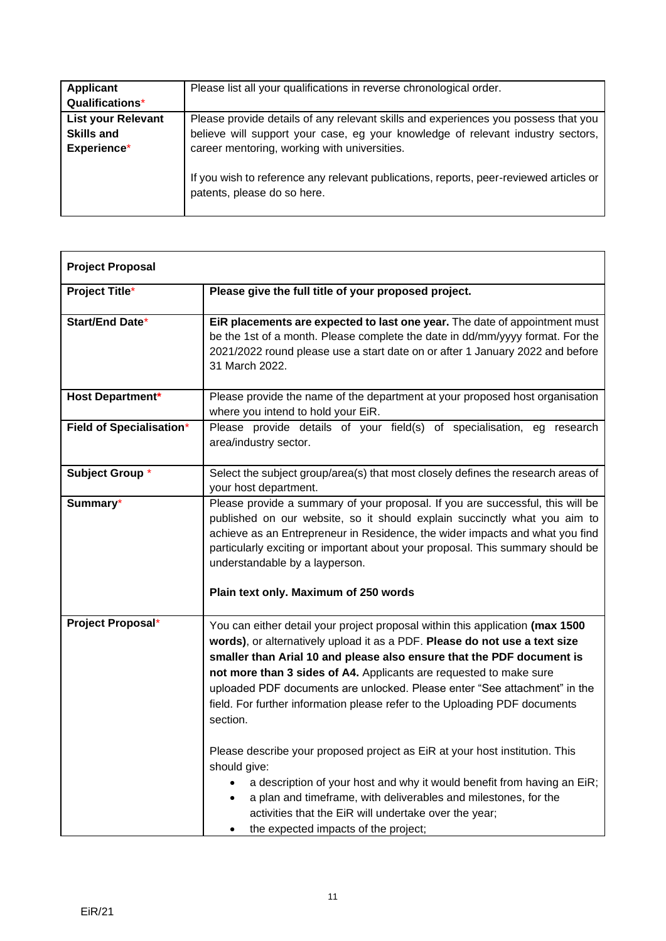| Applicant                 | Please list all your qualifications in reverse chronological order.                                                   |
|---------------------------|-----------------------------------------------------------------------------------------------------------------------|
| Qualifications*           |                                                                                                                       |
| <b>List your Relevant</b> | Please provide details of any relevant skills and experiences you possess that you                                    |
| <b>Skills and</b>         | believe will support your case, eg your knowledge of relevant industry sectors,                                       |
| Experience*               | career mentoring, working with universities.                                                                          |
|                           | If you wish to reference any relevant publications, reports, peer-reviewed articles or<br>patents, please do so here. |

| <b>Project Proposal</b>         |                                                                                                                                                                                                                                                                                                                                                                                                                                                                                                                                                                                                                                                                                                                                                                                                                                                                        |
|---------------------------------|------------------------------------------------------------------------------------------------------------------------------------------------------------------------------------------------------------------------------------------------------------------------------------------------------------------------------------------------------------------------------------------------------------------------------------------------------------------------------------------------------------------------------------------------------------------------------------------------------------------------------------------------------------------------------------------------------------------------------------------------------------------------------------------------------------------------------------------------------------------------|
| <b>Project Title*</b>           | Please give the full title of your proposed project.                                                                                                                                                                                                                                                                                                                                                                                                                                                                                                                                                                                                                                                                                                                                                                                                                   |
| <b>Start/End Date*</b>          | EiR placements are expected to last one year. The date of appointment must<br>be the 1st of a month. Please complete the date in dd/mm/yyyy format. For the<br>2021/2022 round please use a start date on or after 1 January 2022 and before<br>31 March 2022.                                                                                                                                                                                                                                                                                                                                                                                                                                                                                                                                                                                                         |
| <b>Host Department*</b>         | Please provide the name of the department at your proposed host organisation<br>where you intend to hold your EiR.                                                                                                                                                                                                                                                                                                                                                                                                                                                                                                                                                                                                                                                                                                                                                     |
| <b>Field of Specialisation*</b> | Please provide details of your field(s) of specialisation, eg research<br>area/industry sector.                                                                                                                                                                                                                                                                                                                                                                                                                                                                                                                                                                                                                                                                                                                                                                        |
| Subject Group*                  | Select the subject group/area(s) that most closely defines the research areas of<br>your host department.                                                                                                                                                                                                                                                                                                                                                                                                                                                                                                                                                                                                                                                                                                                                                              |
| Summary*                        | Please provide a summary of your proposal. If you are successful, this will be<br>published on our website, so it should explain succinctly what you aim to<br>achieve as an Entrepreneur in Residence, the wider impacts and what you find<br>particularly exciting or important about your proposal. This summary should be<br>understandable by a layperson.<br>Plain text only. Maximum of 250 words                                                                                                                                                                                                                                                                                                                                                                                                                                                               |
| Project Proposal*               | You can either detail your project proposal within this application (max 1500<br>words), or alternatively upload it as a PDF. Please do not use a text size<br>smaller than Arial 10 and please also ensure that the PDF document is<br>not more than 3 sides of A4. Applicants are requested to make sure<br>uploaded PDF documents are unlocked. Please enter "See attachment" in the<br>field. For further information please refer to the Uploading PDF documents<br>section.<br>Please describe your proposed project as EiR at your host institution. This<br>should give:<br>a description of your host and why it would benefit from having an EiR;<br>$\bullet$<br>a plan and timeframe, with deliverables and milestones, for the<br>$\bullet$<br>activities that the EiR will undertake over the year;<br>the expected impacts of the project;<br>$\bullet$ |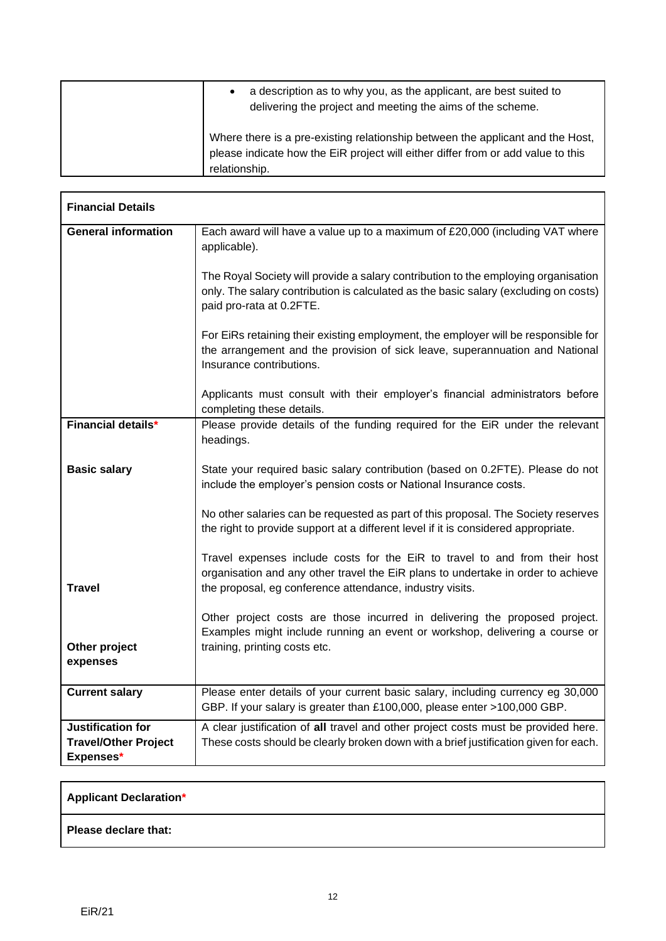| a description as to why you, as the applicant, are best suited to<br>delivering the project and meeting the aims of the scheme.                                                     |
|-------------------------------------------------------------------------------------------------------------------------------------------------------------------------------------|
| Where there is a pre-existing relationship between the applicant and the Host,<br>please indicate how the EiR project will either differ from or add value to this<br>relationship. |

| <b>Financial Details</b>                                      |                                                                                                                                                                                                                            |
|---------------------------------------------------------------|----------------------------------------------------------------------------------------------------------------------------------------------------------------------------------------------------------------------------|
| <b>General information</b>                                    | Each award will have a value up to a maximum of £20,000 (including VAT where<br>applicable).                                                                                                                               |
|                                                               | The Royal Society will provide a salary contribution to the employing organisation<br>only. The salary contribution is calculated as the basic salary (excluding on costs)<br>paid pro-rata at 0.2FTE.                     |
|                                                               | For EiRs retaining their existing employment, the employer will be responsible for<br>the arrangement and the provision of sick leave, superannuation and National<br>Insurance contributions.                             |
|                                                               | Applicants must consult with their employer's financial administrators before<br>completing these details.                                                                                                                 |
| <b>Financial details*</b>                                     | Please provide details of the funding required for the EiR under the relevant<br>headings.                                                                                                                                 |
| <b>Basic salary</b>                                           | State your required basic salary contribution (based on 0.2FTE). Please do not<br>include the employer's pension costs or National Insurance costs.                                                                        |
|                                                               | No other salaries can be requested as part of this proposal. The Society reserves<br>the right to provide support at a different level if it is considered appropriate.                                                    |
| <b>Travel</b>                                                 | Travel expenses include costs for the EiR to travel to and from their host<br>organisation and any other travel the EiR plans to undertake in order to achieve<br>the proposal, eg conference attendance, industry visits. |
| Other project<br>expenses                                     | Other project costs are those incurred in delivering the proposed project.<br>Examples might include running an event or workshop, delivering a course or<br>training, printing costs etc.                                 |
| <b>Current salary</b>                                         | Please enter details of your current basic salary, including currency eg 30,000<br>GBP. If your salary is greater than £100,000, please enter >100,000 GBP.                                                                |
| Justification for<br><b>Travel/Other Project</b><br>Expenses* | A clear justification of all travel and other project costs must be provided here.<br>These costs should be clearly broken down with a brief justification given for each.                                                 |

#### **Applicant Declaration\***

**Please declare that:**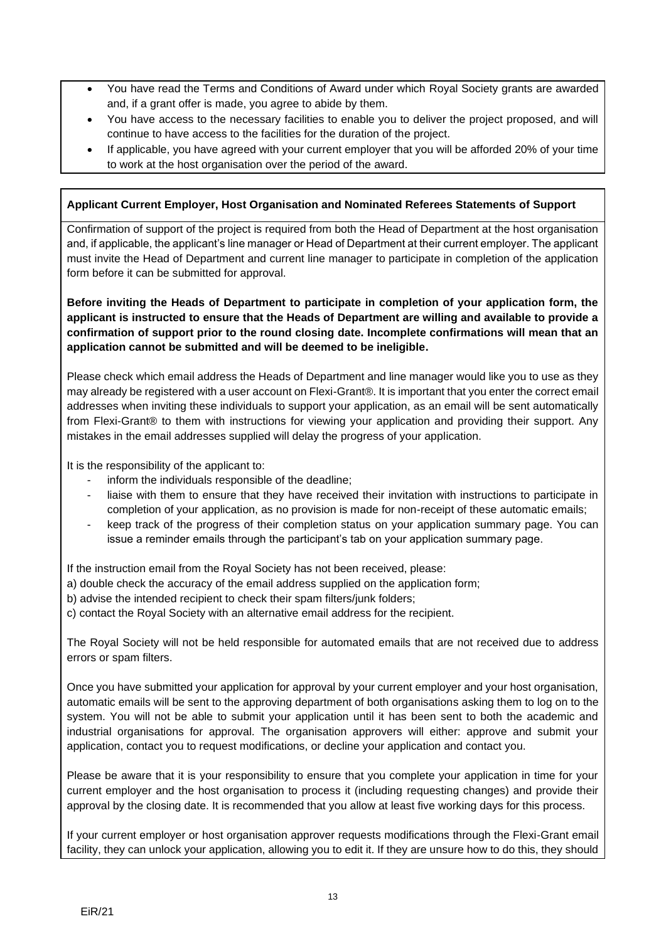- You have read the Terms and Conditions of Award under which Royal Society grants are awarded and, if a grant offer is made, you agree to abide by them.
- You have access to the necessary facilities to enable you to deliver the project proposed, and will continue to have access to the facilities for the duration of the project.
- If applicable, you have agreed with your current employer that you will be afforded 20% of your time to work at the host organisation over the period of the award.

#### **Applicant Current Employer, Host Organisation and Nominated Referees Statements of Support**

Confirmation of support of the project is required from both the Head of Department at the host organisation and, if applicable, the applicant's line manager or Head of Department at their current employer. The applicant must invite the Head of Department and current line manager to participate in completion of the application form before it can be submitted for approval.

**Before inviting the Heads of Department to participate in completion of your application form, the applicant is instructed to ensure that the Heads of Department are willing and available to provide a confirmation of support prior to the round closing date. Incomplete confirmations will mean that an application cannot be submitted and will be deemed to be ineligible.**

Please check which email address the Heads of Department and line manager would like you to use as they may already be registered with a user account on Flexi-Grant®. It is important that you enter the correct email addresses when inviting these individuals to support your application, as an email will be sent automatically from Flexi-Grant® to them with instructions for viewing your application and providing their support. Any mistakes in the email addresses supplied will delay the progress of your application.

It is the responsibility of the applicant to:

- inform the individuals responsible of the deadline;
- liaise with them to ensure that they have received their invitation with instructions to participate in completion of your application, as no provision is made for non-receipt of these automatic emails;
- keep track of the progress of their completion status on your application summary page. You can issue a reminder emails through the participant's tab on your application summary page.

If the instruction email from the Royal Society has not been received, please:

- a) double check the accuracy of the email address supplied on the application form;
- b) advise the intended recipient to check their spam filters/junk folders;
- c) contact the Royal Society with an alternative email address for the recipient.

The Royal Society will not be held responsible for automated emails that are not received due to address errors or spam filters.

Once you have submitted your application for approval by your current employer and your host organisation, automatic emails will be sent to the approving department of both organisations asking them to log on to the system. You will not be able to submit your application until it has been sent to both the academic and industrial organisations for approval. The organisation approvers will either: approve and submit your application, contact you to request modifications, or decline your application and contact you.

Please be aware that it is your responsibility to ensure that you complete your application in time for your current employer and the host organisation to process it (including requesting changes) and provide their approval by the closing date. It is recommended that you allow at least five working days for this process.

If your current employer or host organisation approver requests modifications through the Flexi-Grant email facility, they can unlock your application, allowing you to edit it. If they are unsure how to do this, they should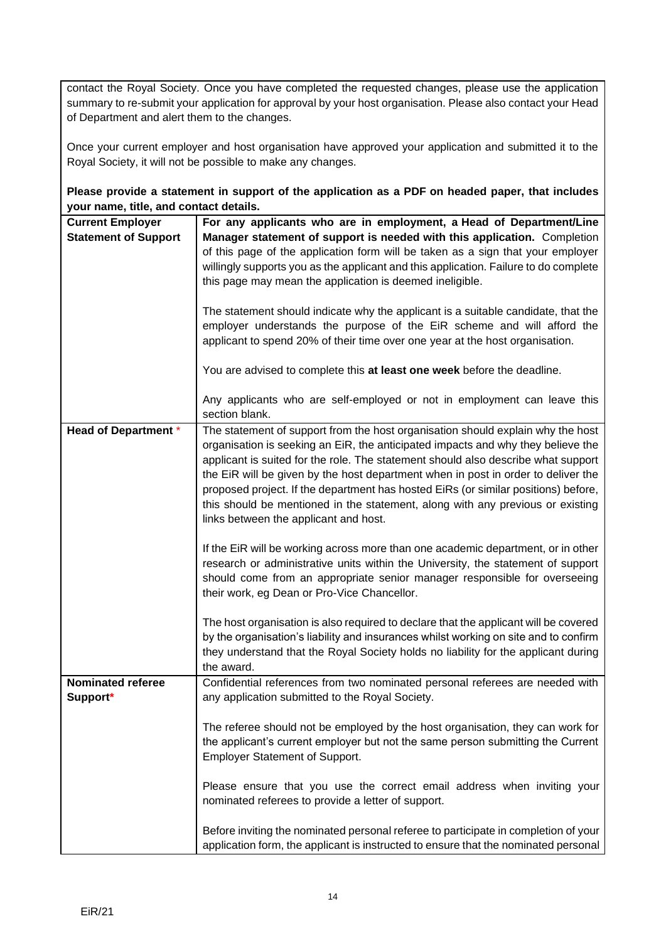contact the Royal Society. Once you have completed the requested changes, please use the application summary to re-submit your application for approval by your host organisation. Please also contact your Head of Department and alert them to the changes.

Once your current employer and host organisation have approved your application and submitted it to the Royal Society, it will not be possible to make any changes.

**Please provide a statement in support of the application as a PDF on headed paper, that includes your name, title, and contact details.**

| <b>Current Employer</b><br><b>Statement of Support</b> | For any applicants who are in employment, a Head of Department/Line<br>Manager statement of support is needed with this application. Completion                        |
|--------------------------------------------------------|------------------------------------------------------------------------------------------------------------------------------------------------------------------------|
|                                                        | of this page of the application form will be taken as a sign that your employer                                                                                        |
|                                                        | willingly supports you as the applicant and this application. Failure to do complete                                                                                   |
|                                                        | this page may mean the application is deemed ineligible.                                                                                                               |
|                                                        | The statement should indicate why the applicant is a suitable candidate, that the                                                                                      |
|                                                        | employer understands the purpose of the EiR scheme and will afford the                                                                                                 |
|                                                        | applicant to spend 20% of their time over one year at the host organisation.                                                                                           |
|                                                        | You are advised to complete this at least one week before the deadline.                                                                                                |
|                                                        | Any applicants who are self-employed or not in employment can leave this<br>section blank.                                                                             |
| <b>Head of Department *</b>                            | The statement of support from the host organisation should explain why the host                                                                                        |
|                                                        | organisation is seeking an EiR, the anticipated impacts and why they believe the                                                                                       |
|                                                        | applicant is suited for the role. The statement should also describe what support<br>the EiR will be given by the host department when in post in order to deliver the |
|                                                        | proposed project. If the department has hosted EiRs (or similar positions) before,                                                                                     |
|                                                        | this should be mentioned in the statement, along with any previous or existing                                                                                         |
|                                                        | links between the applicant and host.                                                                                                                                  |
|                                                        | If the EiR will be working across more than one academic department, or in other                                                                                       |
|                                                        | research or administrative units within the University, the statement of support                                                                                       |
|                                                        | should come from an appropriate senior manager responsible for overseeing                                                                                              |
|                                                        | their work, eg Dean or Pro-Vice Chancellor.                                                                                                                            |
|                                                        | The host organisation is also required to declare that the applicant will be covered                                                                                   |
|                                                        | by the organisation's liability and insurances whilst working on site and to confirm                                                                                   |
|                                                        | they understand that the Royal Society holds no liability for the applicant during                                                                                     |
| <b>Nominated referee</b>                               | the award.<br>Confidential references from two nominated personal referees are needed with                                                                             |
| Support*                                               | any application submitted to the Royal Society.                                                                                                                        |
|                                                        |                                                                                                                                                                        |
|                                                        | The referee should not be employed by the host organisation, they can work for                                                                                         |
|                                                        | the applicant's current employer but not the same person submitting the Current                                                                                        |
|                                                        | <b>Employer Statement of Support.</b>                                                                                                                                  |
|                                                        | Please ensure that you use the correct email address when inviting your                                                                                                |
|                                                        | nominated referees to provide a letter of support.                                                                                                                     |
|                                                        | Before inviting the nominated personal referee to participate in completion of your                                                                                    |
|                                                        | application form, the applicant is instructed to ensure that the nominated personal                                                                                    |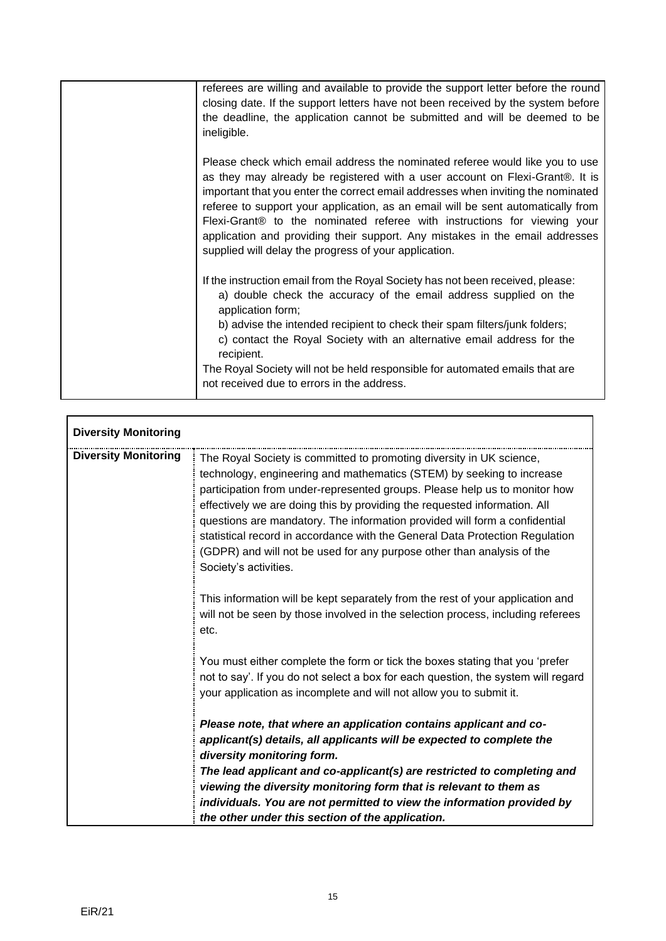| referees are willing and available to provide the support letter before the round<br>closing date. If the support letters have not been received by the system before<br>the deadline, the application cannot be submitted and will be deemed to be<br>ineligible.                                                                                                                                                                                                                                                                                        |
|-----------------------------------------------------------------------------------------------------------------------------------------------------------------------------------------------------------------------------------------------------------------------------------------------------------------------------------------------------------------------------------------------------------------------------------------------------------------------------------------------------------------------------------------------------------|
| Please check which email address the nominated referee would like you to use<br>as they may already be registered with a user account on Flexi-Grant®. It is<br>important that you enter the correct email addresses when inviting the nominated<br>referee to support your application, as an email will be sent automatically from<br>Flexi-Grant® to the nominated referee with instructions for viewing your<br>application and providing their support. Any mistakes in the email addresses<br>supplied will delay the progress of your application. |
| If the instruction email from the Royal Society has not been received, please:<br>a) double check the accuracy of the email address supplied on the<br>application form;<br>b) advise the intended recipient to check their spam filters/junk folders;<br>c) contact the Royal Society with an alternative email address for the<br>recipient.<br>The Royal Society will not be held responsible for automated emails that are<br>not received due to errors in the address.                                                                              |

| <b>Diversity Monitoring</b> |                                                                                                                                                                                                                                                                                                                                                                                                                                                                                                                                                                           |
|-----------------------------|---------------------------------------------------------------------------------------------------------------------------------------------------------------------------------------------------------------------------------------------------------------------------------------------------------------------------------------------------------------------------------------------------------------------------------------------------------------------------------------------------------------------------------------------------------------------------|
| <b>Diversity Monitoring</b> | The Royal Society is committed to promoting diversity in UK science,<br>technology, engineering and mathematics (STEM) by seeking to increase<br>participation from under-represented groups. Please help us to monitor how<br>effectively we are doing this by providing the requested information. All<br>questions are mandatory. The information provided will form a confidential<br>statistical record in accordance with the General Data Protection Regulation<br>(GDPR) and will not be used for any purpose other than analysis of the<br>Society's activities. |
|                             | This information will be kept separately from the rest of your application and<br>will not be seen by those involved in the selection process, including referees<br>etc.                                                                                                                                                                                                                                                                                                                                                                                                 |
|                             | You must either complete the form or tick the boxes stating that you 'prefer<br>not to say'. If you do not select a box for each question, the system will regard<br>your application as incomplete and will not allow you to submit it.                                                                                                                                                                                                                                                                                                                                  |
|                             | Please note, that where an application contains applicant and co-<br>applicant(s) details, all applicants will be expected to complete the<br>diversity monitoring form.                                                                                                                                                                                                                                                                                                                                                                                                  |
|                             | The lead applicant and co-applicant(s) are restricted to completing and                                                                                                                                                                                                                                                                                                                                                                                                                                                                                                   |
|                             | viewing the diversity monitoring form that is relevant to them as                                                                                                                                                                                                                                                                                                                                                                                                                                                                                                         |
|                             | individuals. You are not permitted to view the information provided by<br>the other under this section of the application.                                                                                                                                                                                                                                                                                                                                                                                                                                                |